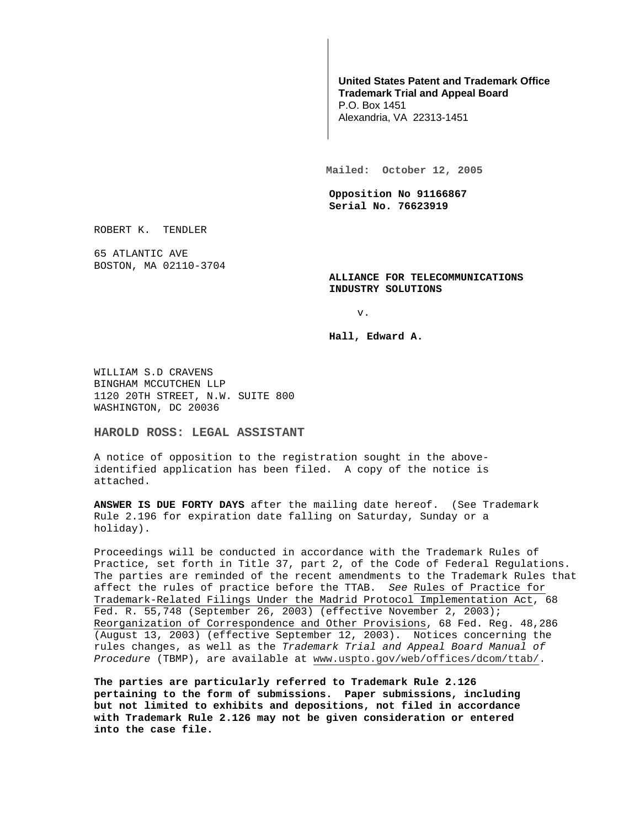## **United States Patent and Trademark Office Trademark Trial and Appeal Board**

P.O. Box 1451 Alexandria, VA 22313-1451

**Mailed: October 12, 2005** 

**Opposition No 91166867 Serial No. 76623919** 

ROBERT K. TENDLER

65 ATLANTIC AVE BOSTON, MA 02110-3704

> **ALLIANCE FOR TELECOMMUNICATIONS INDUSTRY SOLUTIONS**

> > v.

**Hall, Edward A.** 

WILLIAM S.D CRAVENS BINGHAM MCCUTCHEN LLP 1120 20TH STREET, N.W. SUITE 800 WASHINGTON, DC 20036

**HAROLD ROSS: LEGAL ASSISTANT** 

A notice of opposition to the registration sought in the aboveidentified application has been filed. A copy of the notice is attached.

**ANSWER IS DUE FORTY DAYS** after the mailing date hereof. (See Trademark Rule 2.196 for expiration date falling on Saturday, Sunday or a holiday).

Proceedings will be conducted in accordance with the Trademark Rules of Practice, set forth in Title 37, part 2, of the Code of Federal Regulations. The parties are reminded of the recent amendments to the Trademark Rules that affect the rules of practice before the TTAB. See Rules of Practice for Trademark-Related Filings Under the Madrid Protocol Implementation Act, 68 Fed. R. 55,748 (September 26, 2003) (effective November 2, 2003); Reorganization of Correspondence and Other Provisions, 68 Fed. Reg. 48,286 (August 13, 2003) (effective September 12, 2003). Notices concerning the rules changes, as well as the Trademark Trial and Appeal Board Manual of Procedure (TBMP), are available at www.uspto.gov/web/offices/dcom/ttab/.

**The parties are particularly referred to Trademark Rule 2.126 pertaining to the form of submissions. Paper submissions, including but not limited to exhibits and depositions, not filed in accordance with Trademark Rule 2.126 may not be given consideration or entered into the case file.**